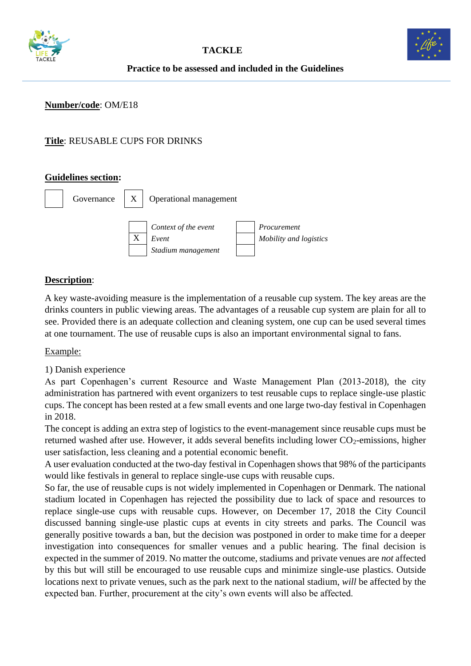



## **Practice to be assessed and included in the Guidelines**

### **Number/code**: OM/E18

## **Title**: REUSABLE CUPS FOR DRINKS

#### **Guidelines section:**



### **Description**:

A key waste-avoiding measure is the implementation of a reusable cup system. The key areas are the drinks counters in public viewing areas. The advantages of a reusable cup system are plain for all to see. Provided there is an adequate collection and cleaning system, one cup can be used several times at one tournament. The use of reusable cups is also an important environmental signal to fans.

Example:

1) Danish experience

As part Copenhagen's current Resource and Waste Management Plan (2013-2018), the city administration has partnered with event organizers to test reusable cups to replace single-use plastic cups. The concept has been rested at a few small events and one large two-day festival in Copenhagen in 2018.

The concept is adding an extra step of logistics to the event-management since reusable cups must be returned washed after use. However, it adds several benefits including lower  $CO_2$ -emissions, higher user satisfaction, less cleaning and a potential economic benefit.

A user evaluation conducted at the two-day festival in Copenhagen shows that 98% of the participants would like festivals in general to replace single-use cups with reusable cups.

So far, the use of reusable cups is not widely implemented in Copenhagen or Denmark. The national stadium located in Copenhagen has rejected the possibility due to lack of space and resources to replace single-use cups with reusable cups. However, on December 17, 2018 the City Council discussed banning single-use plastic cups at events in city streets and parks. The Council was generally positive towards a ban, but the decision was postponed in order to make time for a deeper investigation into consequences for smaller venues and a public hearing. The final decision is expected in the summer of 2019. No matter the outcome, stadiums and private venues are *not* affected by this but will still be encouraged to use reusable cups and minimize single-use plastics. Outside locations next to private venues, such as the park next to the national stadium, *will* be affected by the expected ban. Further, procurement at the city's own events will also be affected.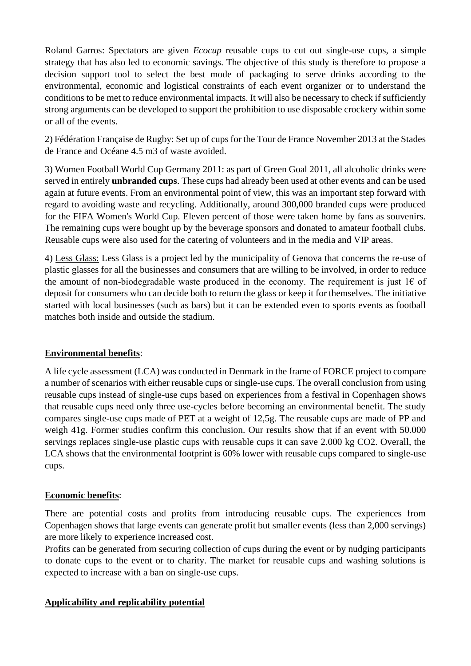Roland Garros: Spectators are given *Ecocup* reusable cups to cut out single-use cups, a simple strategy that has also led to economic savings. The objective of this study is therefore to propose a decision support tool to select the best mode of packaging to serve drinks according to the environmental, economic and logistical constraints of each event organizer or to understand the conditions to be met to reduce environmental impacts. It will also be necessary to check if sufficiently strong arguments can be developed to support the prohibition to use disposable crockery within some or all of the events.

2) Fédération Française de Rugby: Set up of cups for the Tour de France November 2013 at the Stades de France and Océane 4.5 m3 of waste avoided.

3) Women Football World Cup Germany 2011: as part of Green Goal 2011, all alcoholic drinks were served in entirely **unbranded cups**. These cups had already been used at other events and can be used again at future events. From an environmental point of view, this was an important step forward with regard to avoiding waste and recycling. Additionally, around 300,000 branded cups were produced for the FIFA Women's World Cup. Eleven percent of those were taken home by fans as souvenirs. The remaining cups were bought up by the beverage sponsors and donated to amateur football clubs. Reusable cups were also used for the catering of volunteers and in the media and VIP areas.

4) Less Glass: Less Glass is a project led by the municipality of Genova that concerns the re-use of plastic glasses for all the businesses and consumers that are willing to be involved, in order to reduce the amount of non-biodegradable waste produced in the economy. The requirement is just  $1 \in \mathfrak{cf}$ deposit for consumers who can decide both to return the glass or keep it for themselves. The initiative started with local businesses (such as bars) but it can be extended even to sports events as football matches both inside and outside the stadium.

### **Environmental benefits**:

A life cycle assessment (LCA) was conducted in Denmark in the frame of FORCE project to compare a number of scenarios with either reusable cups or single-use cups. The overall conclusion from using reusable cups instead of single-use cups based on experiences from a festival in Copenhagen shows that reusable cups need only three use-cycles before becoming an environmental benefit. The study compares single-use cups made of PET at a weight of 12,5g. The reusable cups are made of PP and weigh 41g. Former studies confirm this conclusion. Our results show that if an event with 50.000 servings replaces single-use plastic cups with reusable cups it can save 2.000 kg CO2. Overall, the LCA shows that the environmental footprint is 60% lower with reusable cups compared to single-use cups.

### **Economic benefits**:

There are potential costs and profits from introducing reusable cups. The experiences from Copenhagen shows that large events can generate profit but smaller events (less than 2,000 servings) are more likely to experience increased cost.

Profits can be generated from securing collection of cups during the event or by nudging participants to donate cups to the event or to charity. The market for reusable cups and washing solutions is expected to increase with a ban on single-use cups.

### **Applicability and replicability potential**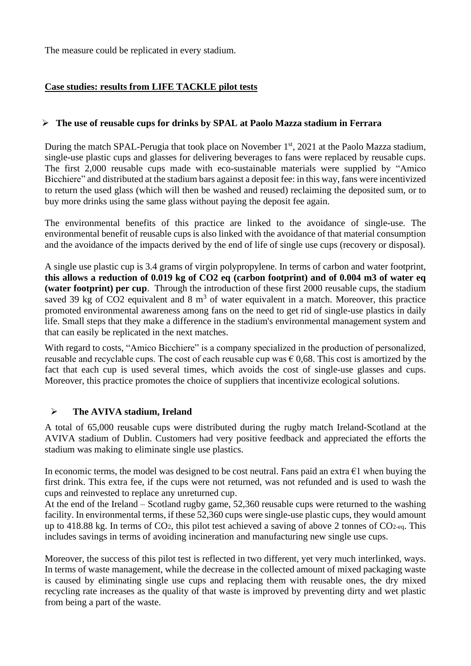The measure could be replicated in every stadium.

## **Case studies: results from LIFE TACKLE pilot tests**

### ➢ **The use of reusable cups for drinks by SPAL at Paolo Mazza stadium in Ferrara**

During the match SPAL-Perugia that took place on November 1<sup>st</sup>, 2021 at the Paolo Mazza stadium, single-use plastic cups and glasses for delivering beverages to fans were replaced by reusable cups. The first 2,000 reusable cups made with eco-sustainable materials were supplied by "Amico Bicchiere" and distributed at the stadium bars against a deposit fee: in this way, fans were incentivized to return the used glass (which will then be washed and reused) reclaiming the deposited sum, or to buy more drinks using the same glass without paying the deposit fee again.

The environmental benefits of this practice are linked to the avoidance of single-use. The environmental benefit of reusable cups is also linked with the avoidance of that material consumption and the avoidance of the impacts derived by the end of life of single use cups (recovery or disposal).

A single use plastic cup is 3.4 grams of virgin polypropylene. In terms of carbon and water footprint, **this allows a reduction of 0.019 kg of CO2 eq (carbon footprint) and of 0.004 m3 of water eq (water footprint) per cup**. Through the introduction of these first 2000 reusable cups, the stadium saved 39 kg of CO2 equivalent and 8  $m<sup>3</sup>$  of water equivalent in a match. Moreover, this practice promoted environmental awareness among fans on the need to get rid of single-use plastics in daily life. Small steps that they make a difference in the stadium's environmental management system and that can easily be replicated in the next matches.

With regard to costs, "Amico Bicchiere" is a company specialized in the production of personalized, reusable and recyclable cups. The cost of each reusable cup was  $\epsilon$  0,68. This cost is amortized by the fact that each cup is used several times, which avoids the cost of single-use glasses and cups. Moreover, this practice promotes the choice of suppliers that incentivize ecological solutions.

### ➢ **The AVIVA stadium, Ireland**

A total of 65,000 reusable cups were distributed during the rugby match Ireland-Scotland at the AVIVA stadium of Dublin. Customers had very positive feedback and appreciated the efforts the stadium was making to eliminate single use plastics.

In economic terms, the model was designed to be cost neutral. Fans paid an extra  $\epsilon$ 1 when buying the first drink. This extra fee, if the cups were not returned, was not refunded and is used to wash the cups and reinvested to replace any unreturned cup.

At the end of the Ireland – Scotland rugby game, 52,360 reusable cups were returned to the washing facility. In environmental terms, if these 52,360 cups were single-use plastic cups, they would amount up to 418.88 kg. In terms of CO2, this pilot test achieved a saving of above 2 tonnes of CO2-eq. This includes savings in terms of avoiding incineration and manufacturing new single use cups.

Moreover, the success of this pilot test is reflected in two different, yet very much interlinked, ways. In terms of waste management, while the decrease in the collected amount of mixed packaging waste is caused by eliminating single use cups and replacing them with reusable ones, the dry mixed recycling rate increases as the quality of that waste is improved by preventing dirty and wet plastic from being a part of the waste.